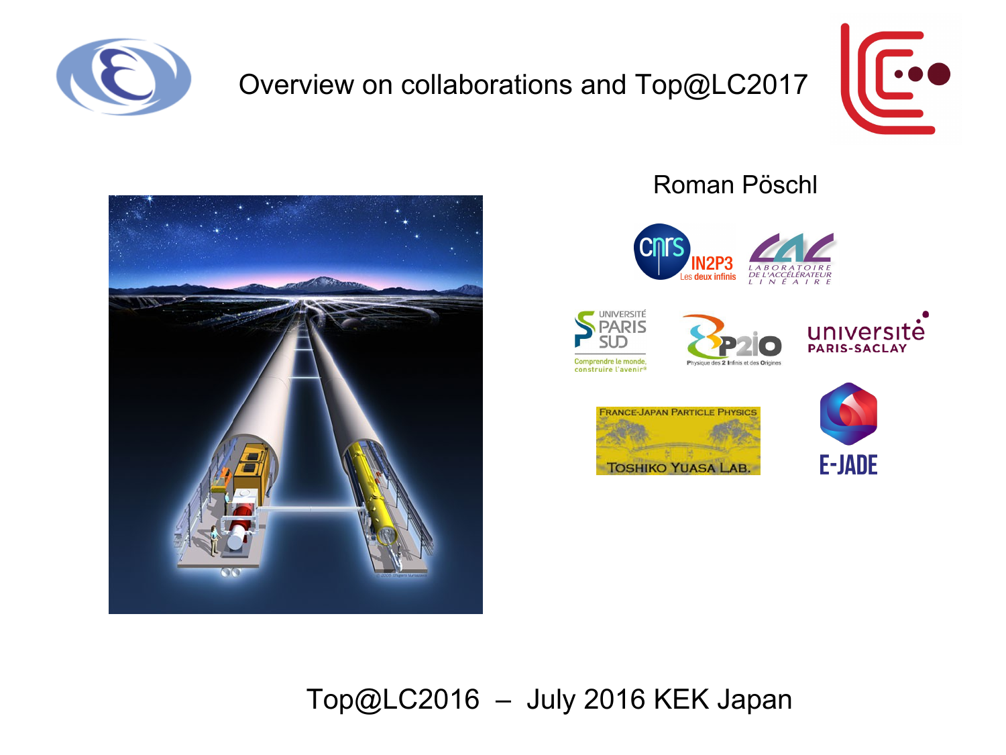

## Overview on collaborations and Top@LC2017





## Roman Pöschl













## [Top@LC2016](mailto:Top@LC2016) – July 2016 KEK Japan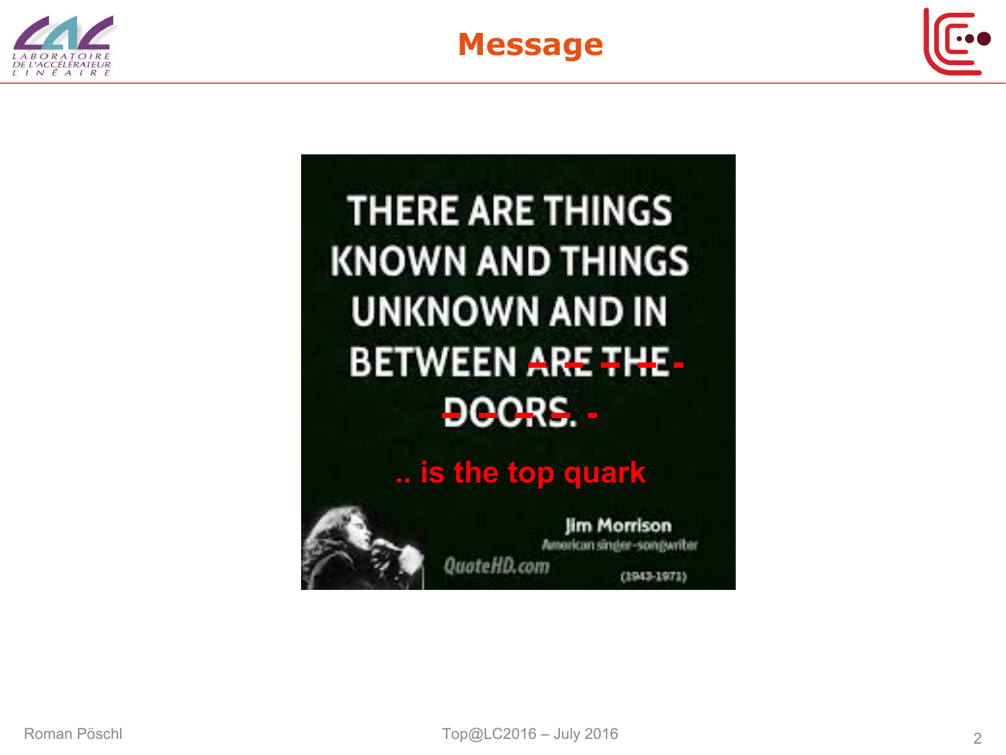





**THERE ARE THINGS KNOWN AND THINGS UNKNOWN AND IN BETWEEN ARE THE-**DOORS. -

**.. is the top quark**

**Jim Morrison** American sinder-songwriter QuoteHD.com

(1943-1971)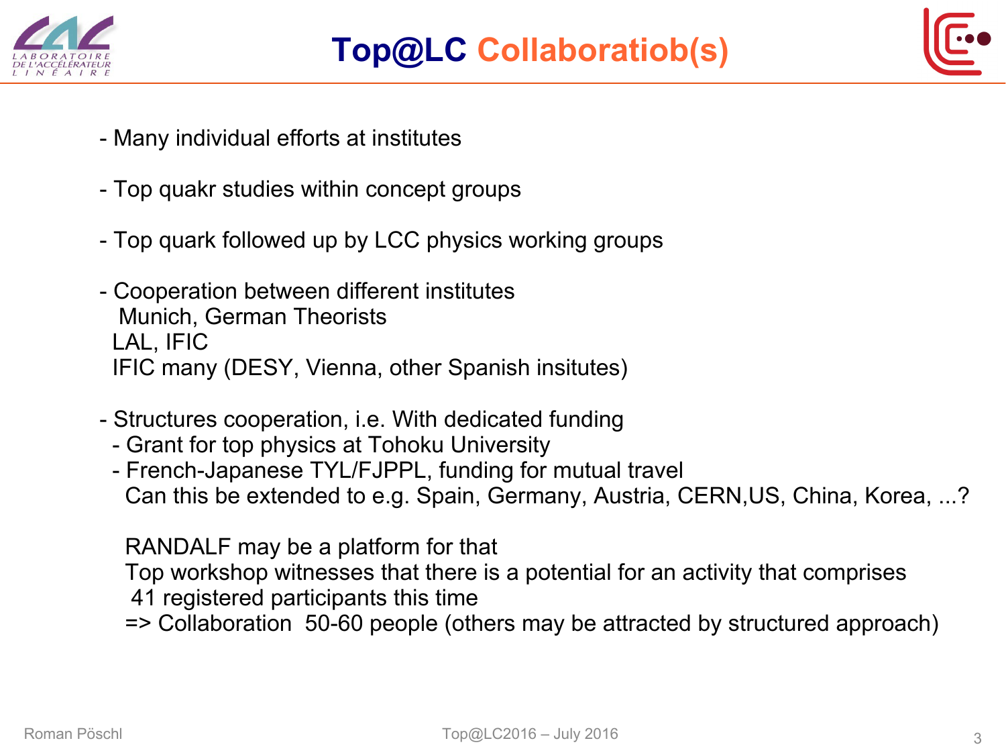



- Many individual efforts at institutes
- Top quakr studies within concept groups
- Top quark followed up by LCC physics working groups
- Cooperation between different institutes Munich, German Theorists LAL, IFIC IFIC many (DESY, Vienna, other Spanish insitutes)
- Structures cooperation, i.e. With dedicated funding
	- Grant for top physics at Tohoku University
	- French-Japanese TYL/FJPPL, funding for mutual travel Can this be extended to e.g. Spain, Germany, Austria, CERN,US, China, Korea, ...?

RANDALF may be a platform for that

Top workshop witnesses that there is a potential for an activity that comprises

- 41 registered participants this time
- => Collaboration 50-60 people (others may be attracted by structured approach)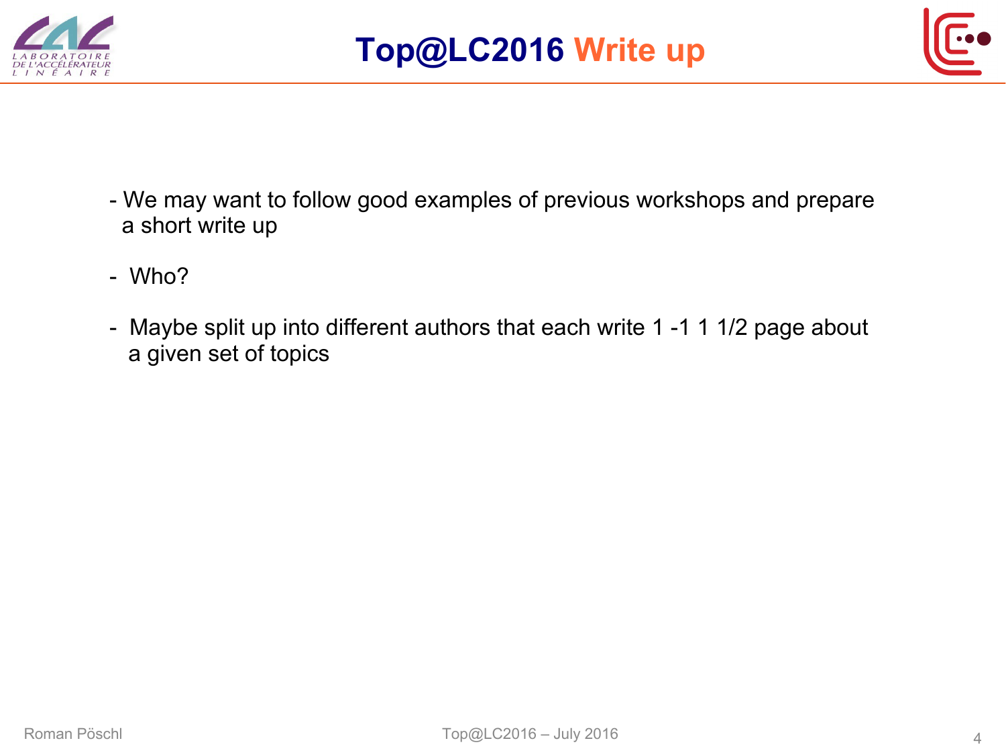



- We may want to follow good examples of previous workshops and prepare a short write up
- Who?
- Maybe split up into different authors that each write 1 -1 1 1/2 page about a given set of topics